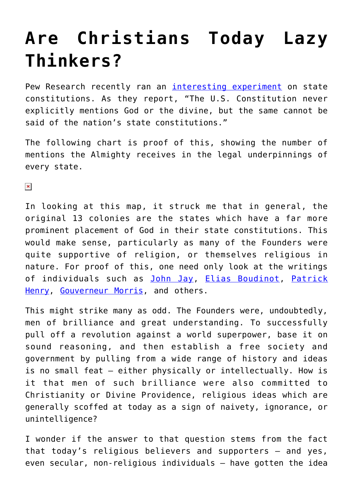## **[Are Christians Today Lazy](https://intellectualtakeout.org/2017/08/are-christians-today-lazy-thinkers/) [Thinkers?](https://intellectualtakeout.org/2017/08/are-christians-today-lazy-thinkers/)**

Pew Research recently ran an [interesting experiment](http://www.pewresearch.org/fact-tank/2017/08/17/god-or-the-divine-is-referenced-in-every-state-constitution/) on state constitutions. As they report, "The U.S. Constitution never explicitly mentions God or the divine, but the same cannot be said of the nation's state constitutions."

The following chart is proof of this, showing the number of mentions the Almighty receives in the legal underpinnings of every state.

 $\pmb{\times}$ 

In looking at this map, it struck me that in general, the original 13 colonies are the states which have a far more prominent placement of God in their state constitutions. This would make sense, particularly as many of the Founders were quite supportive of religion, or themselves religious in nature. For proof of this, one need only look at the writings of individuals such as [John Jay,](https://books.google.com/books?id=K2UsAAAAIAAJ&pg=PA203&lpg=PA203&dq=I+have+long+been+of+the+opinion+that+the+evidence+of+the+truth+of+Christianity+requires+only+to+be+carefully+examined+to+produce+conviction+in+candid+minds,+and+I+think+they+who+undertake+that+task+will+derive+advantages&source=bl&ots=7R9DU0RPld&sig=GcKedD2vcjSn92K_s8tx9fD8ONU&hl=en&sa=X&ved=0ahUKEwiLx9eNheHVAhXo8YMKHV9qBdgQ6AEINDAC#v=onepage&q&f=false) [Elias Boudinot,](https://archive.org/details/agerevelationor00boudgoog) [Patrick](https://books.google.com/books?id=yx5CAAAAIAAJ&pg=PA592&lpg=PA592&dq=This+is+the+armor,+my+friend,+and+this+alone,+that+renders+us+invincible.+patrick+henry&source=bl&ots=yP0XZZXzED&sig=0qaTeK7oeogyVr2tYrCbpmPqURY&hl=en&sa=X&ved=0ahUKEwil6uXfheHVAhUK0IMKHeMmAfcQ6AEIUDAH#v=onepage&q&f=false) [Henry](https://books.google.com/books?id=yx5CAAAAIAAJ&pg=PA592&lpg=PA592&dq=This+is+the+armor,+my+friend,+and+this+alone,+that+renders+us+invincible.+patrick+henry&source=bl&ots=yP0XZZXzED&sig=0qaTeK7oeogyVr2tYrCbpmPqURY&hl=en&sa=X&ved=0ahUKEwil6uXfheHVAhUK0IMKHeMmAfcQ6AEIUDAH#v=onepage&q&f=false), [Gouverneur Morris,](https://books.google.com/books?id=MkqBV79cVMkC&pg=PA259&lpg=PA259&dq=There+must+be+religion.+When+that+ligament+is+torn,+society+is+disjointed+and+its+members+perish+gouverneur+morris&source=bl&ots=SFgc01_7dB&sig=7QZ2n5CLhO_02_QiblUTV4XxIss&hl=en&sa=X&ved=0ahUKEwjbiJT-h-HVAhUh5oMKHaOrCwkQ6AEIMTAC#v=onepage&q=There%20must%20be%20religion.%20When%20that%20ligament%20is%20torn%2C%20society%20is%20disjointed%20and%20its%20members%20perish%20gouverneur%20morris&f=false) and others.

This might strike many as odd. The Founders were, undoubtedly, men of brilliance and great understanding. To successfully pull off a revolution against a world superpower, base it on sound reasoning, and then establish a free society and government by pulling from a wide range of history and ideas is no small feat – either physically or intellectually. How is it that men of such brilliance were also committed to Christianity or Divine Providence, religious ideas which are generally scoffed at today as a sign of naivety, ignorance, or unintelligence?

I wonder if the answer to that question stems from the fact that today's religious believers and supporters – and yes, even secular, non-religious individuals – have gotten the idea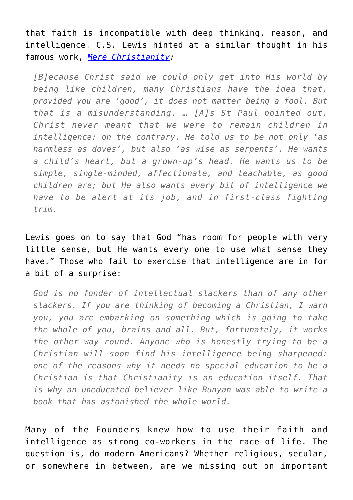that faith is incompatible with deep thinking, reason, and intelligence. C.S. Lewis hinted at a similar thought in his famous work, *[Mere Christianity](https://www.amazon.com/gp/product/0060652926/ref=as_li_qf_sp_asin_il_tl?ie=UTF8&tag=intelltakeo0d-20&camp=1789&creative=9325&linkCode=as2&creativeASIN=0060652926&linkId=1932f270e50c99e24c52542b888ff19a):*

*[B]ecause Christ said we could only get into His world by being like children, many Christians have the idea that, provided you are 'good', it does not matter being a fool. But that is a misunderstanding. … [A]s St Paul pointed out, Christ never meant that we were to remain children in intelligence: on the contrary. He told us to be not only 'as harmless as doves', but also 'as wise as serpents'. He wants a child's heart, but a grown-up's head. He wants us to be simple, single-minded, affectionate, and teachable, as good children are; but He also wants every bit of intelligence we have to be alert at its job, and in first-class fighting trim.*

Lewis goes on to say that God "has room for people with very little sense, but He wants every one to use what sense they have." Those who fail to exercise that intelligence are in for a bit of a surprise:

*God is no fonder of intellectual slackers than of any other slackers. If you are thinking of becoming a Christian, I warn you, you are embarking on something which is going to take the whole of you, brains and all. But, fortunately, it works the other way round. Anyone who is honestly trying to be a Christian will soon find his intelligence being sharpened: one of the reasons why it needs no special education to be a Christian is that Christianity is an education itself. That is why an uneducated believer like Bunyan was able to write a book that has astonished the whole world.*

Many of the Founders knew how to use their faith and intelligence as strong co-workers in the race of life. The question is, do modern Americans? Whether religious, secular, or somewhere in between, are we missing out on important